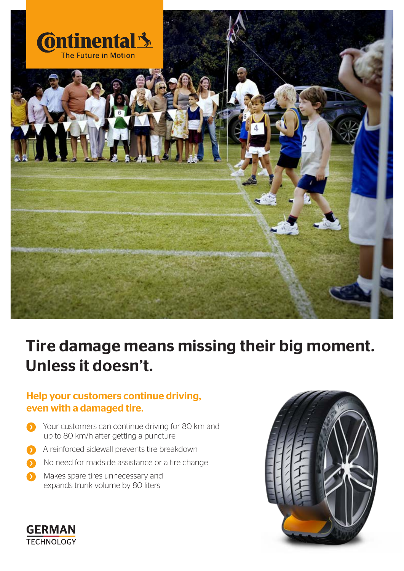

# Tire damage means missing their big moment. Unless it doesn't.

## Help your customers continue driving, even with a damaged tire.

- Your customers can continue driving for 80 km and up to 80 km/h after getting a puncture
- A reinforced sidewall prevents tire breakdown
- $\bullet$  No need for roadside assistance or a tire change
- Makes spare tires unnecessary and  $\bullet$ expands trunk volume by 80 liters